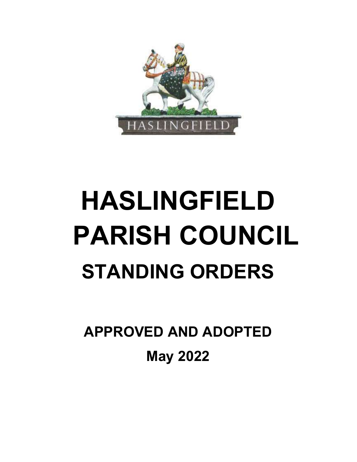

# HASLINGFIELD PARISH COUNCIL STANDING ORDERS

APPROVED AND ADOPTED May 2022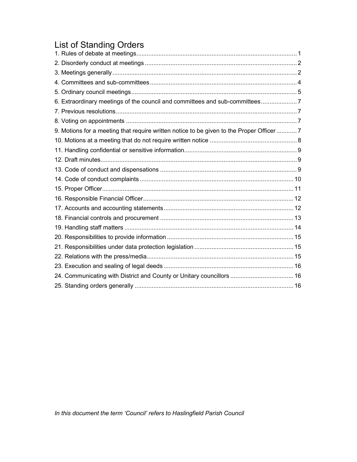## List of Standing Orders

| 6. Extraordinary meetings of the council and committees and sub-committees7              |  |
|------------------------------------------------------------------------------------------|--|
|                                                                                          |  |
|                                                                                          |  |
| 9. Motions for a meeting that require written notice to be given to the Proper Officer 7 |  |
|                                                                                          |  |
|                                                                                          |  |
|                                                                                          |  |
|                                                                                          |  |
|                                                                                          |  |
|                                                                                          |  |
|                                                                                          |  |
|                                                                                          |  |
|                                                                                          |  |
|                                                                                          |  |
|                                                                                          |  |
|                                                                                          |  |
|                                                                                          |  |
|                                                                                          |  |
| 24. Communicating with District and County or Unitary councillors  16                    |  |
|                                                                                          |  |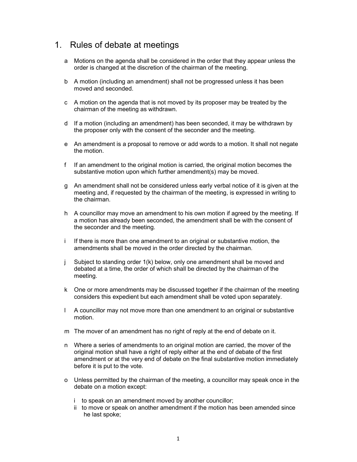#### 1. Rules of debate at meetings

- a Motions on the agenda shall be considered in the order that they appear unless the order is changed at the discretion of the chairman of the meeting.
- b A motion (including an amendment) shall not be progressed unless it has been moved and seconded.
- c A motion on the agenda that is not moved by its proposer may be treated by the chairman of the meeting as withdrawn.
- d If a motion (including an amendment) has been seconded, it may be withdrawn by the proposer only with the consent of the seconder and the meeting.
- e An amendment is a proposal to remove or add words to a motion. It shall not negate the motion.
- f If an amendment to the original motion is carried, the original motion becomes the substantive motion upon which further amendment(s) may be moved.
- g An amendment shall not be considered unless early verbal notice of it is given at the meeting and, if requested by the chairman of the meeting, is expressed in writing to the chairman.
- h A councillor may move an amendment to his own motion if agreed by the meeting. If a motion has already been seconded, the amendment shall be with the consent of the seconder and the meeting.
- i If there is more than one amendment to an original or substantive motion, the amendments shall be moved in the order directed by the chairman.
- j Subject to standing order 1(k) below, only one amendment shall be moved and debated at a time, the order of which shall be directed by the chairman of the meeting.
- k One or more amendments may be discussed together if the chairman of the meeting considers this expedient but each amendment shall be voted upon separately.
- l A councillor may not move more than one amendment to an original or substantive motion.
- m The mover of an amendment has no right of reply at the end of debate on it.
- n Where a series of amendments to an original motion are carried, the mover of the original motion shall have a right of reply either at the end of debate of the first amendment or at the very end of debate on the final substantive motion immediately before it is put to the vote.
- o Unless permitted by the chairman of the meeting, a councillor may speak once in the debate on a motion except:
	- i to speak on an amendment moved by another councillor;
	- ii to move or speak on another amendment if the motion has been amended since he last spoke;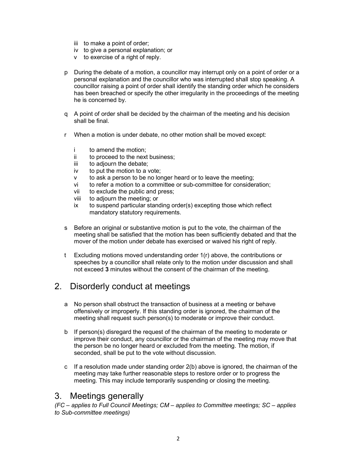- iii to make a point of order;
- iv to give a personal explanation; or
- v to exercise of a right of reply.
- p During the debate of a motion, a councillor may interrupt only on a point of order or a personal explanation and the councillor who was interrupted shall stop speaking. A councillor raising a point of order shall identify the standing order which he considers has been breached or specify the other irregularity in the proceedings of the meeting he is concerned by.
- q A point of order shall be decided by the chairman of the meeting and his decision shall be final.
- r When a motion is under debate, no other motion shall be moved except:
	- i to amend the motion;
	- ii to proceed to the next business;
	- iii to adjourn the debate;
	- iv to put the motion to a vote;
	- v to ask a person to be no longer heard or to leave the meeting;
	- vi to refer a motion to a committee or sub-committee for consideration;
	- vii to exclude the public and press;
	- viii to adjourn the meeting; or
	- ix to suspend particular standing order(s) excepting those which reflect mandatory statutory requirements.
- s Before an original or substantive motion is put to the vote, the chairman of the meeting shall be satisfied that the motion has been sufficiently debated and that the mover of the motion under debate has exercised or waived his right of reply.
- t Excluding motions moved understanding order 1(r) above, the contributions or speeches by a councillor shall relate only to the motion under discussion and shall not exceed 3 minutes without the consent of the chairman of the meeting.

### 2. Disorderly conduct at meetings

- a No person shall obstruct the transaction of business at a meeting or behave offensively or improperly. If this standing order is ignored, the chairman of the meeting shall request such person(s) to moderate or improve their conduct.
- b If person(s) disregard the request of the chairman of the meeting to moderate or improve their conduct, any councillor or the chairman of the meeting may move that the person be no longer heard or excluded from the meeting. The motion, if seconded, shall be put to the vote without discussion.
- c If a resolution made under standing order 2(b) above is ignored, the chairman of the meeting may take further reasonable steps to restore order or to progress the meeting. This may include temporarily suspending or closing the meeting.

#### 3. Meetings generally

(FC – applies to Full Council Meetings; CM – applies to Committee meetings; SC – applies to Sub-committee meetings)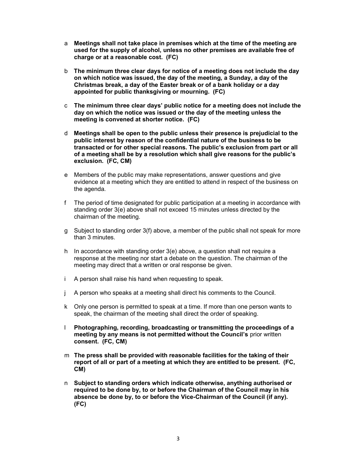- a Meetings shall not take place in premises which at the time of the meeting are used for the supply of alcohol, unless no other premises are available free of charge or at a reasonable cost. (FC)
- b The minimum three clear days for notice of a meeting does not include the day on which notice was issued, the day of the meeting, a Sunday, a day of the Christmas break, a day of the Easter break or of a bank holiday or a day appointed for public thanksgiving or mourning. (FC)
- c The minimum three clear days' public notice for a meeting does not include the day on which the notice was issued or the day of the meeting unless the meeting is convened at shorter notice. (FC)
- d Meetings shall be open to the public unless their presence is prejudicial to the public interest by reason of the confidential nature of the business to be transacted or for other special reasons. The public's exclusion from part or all of a meeting shall be by a resolution which shall give reasons for the public's exclusion. (FC, CM)
- e Members of the public may make representations, answer questions and give evidence at a meeting which they are entitled to attend in respect of the business on the agenda.
- f The period of time designated for public participation at a meeting in accordance with standing order 3(e) above shall not exceed 15 minutes unless directed by the chairman of the meeting.
- g Subject to standing order 3(f) above, a member of the public shall not speak for more than 3 minutes.
- h In accordance with standing order  $3(e)$  above, a question shall not require a response at the meeting nor start a debate on the question. The chairman of the meeting may direct that a written or oral response be given.
- i A person shall raise his hand when requesting to speak.
- j A person who speaks at a meeting shall direct his comments to the Council.
- k Only one person is permitted to speak at a time. If more than one person wants to speak, the chairman of the meeting shall direct the order of speaking.
- l Photographing, recording, broadcasting or transmitting the proceedings of a meeting by any means is not permitted without the Council's prior written consent. (FC, CM)
- m The press shall be provided with reasonable facilities for the taking of their report of all or part of a meeting at which they are entitled to be present. (FC, CM)
- n Subject to standing orders which indicate otherwise, anything authorised or required to be done by, to or before the Chairman of the Council may in his absence be done by, to or before the Vice-Chairman of the Council (if any). (FC)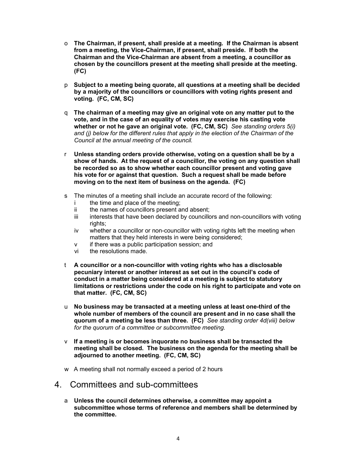- o The Chairman, if present, shall preside at a meeting. If the Chairman is absent from a meeting, the Vice-Chairman, if present, shall preside. If both the Chairman and the Vice-Chairman are absent from a meeting, a councillor as chosen by the councillors present at the meeting shall preside at the meeting. (FC)
- p Subject to a meeting being quorate, all questions at a meeting shall be decided by a majority of the councillors or councillors with voting rights present and voting. (FC, CM, SC)
- q The chairman of a meeting may give an original vote on any matter put to the vote, and in the case of an equality of votes may exercise his casting vote whether or not he gave an original vote. (FC, CM, SC) See standing orders  $5(i)$ and (i) below for the different rules that apply in the election of the Chairman of the Council at the annual meeting of the council.
- r Unless standing orders provide otherwise, voting on a question shall be by a show of hands. At the request of a councillor, the voting on any question shall be recorded so as to show whether each councillor present and voting gave his vote for or against that question. Such a request shall be made before moving on to the next item of business on the agenda. (FC)
- s The minutes of a meeting shall include an accurate record of the following:
	- i the time and place of the meeting;
	- ii the names of councillors present and absent;
	- iii interests that have been declared by councillors and non-councillors with voting rights;
	- iv whether a councillor or non-councillor with voting rights left the meeting when matters that they held interests in were being considered;
	- v if there was a public participation session; and
	- vi the resolutions made.
- t A councillor or a non-councillor with voting rights who has a disclosable pecuniary interest or another interest as set out in the council's code of conduct in a matter being considered at a meeting is subject to statutory limitations or restrictions under the code on his right to participate and vote on that matter. (FC, CM, SC)
- u No business may be transacted at a meeting unless at least one-third of the whole number of members of the council are present and in no case shall the quorum of a meeting be less than three. (FC) See standing order 4d(viii) below for the quorum of a committee or subcommittee meeting.
- $\vee$  If a meeting is or becomes inquorate no business shall be transacted the meeting shall be closed. The business on the agenda for the meeting shall be adjourned to another meeting. (FC, CM, SC)
- w A meeting shall not normally exceed a period of 2 hours
- 4. Committees and sub-committees
	- a Unless the council determines otherwise, a committee may appoint a subcommittee whose terms of reference and members shall be determined by the committee.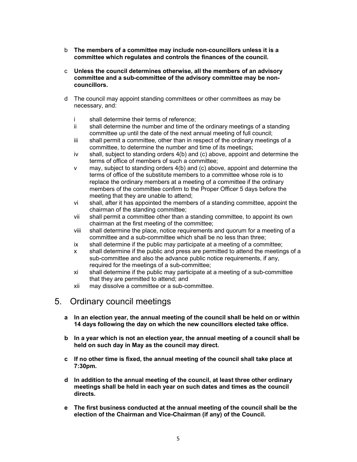- b The members of a committee may include non-councillors unless it is a committee which regulates and controls the finances of the council.
- c Unless the council determines otherwise, all the members of an advisory committee and a sub-committee of the advisory committee may be noncouncillors.
- d The council may appoint standing committees or other committees as may be necessary, and:
	- i shall determine their terms of reference;
	- ii shall determine the number and time of the ordinary meetings of a standing committee up until the date of the next annual meeting of full council;
	- iii shall permit a committee, other than in respect of the ordinary meetings of a committee, to determine the number and time of its meetings;
	- iv shall, subject to standing orders  $4(b)$  and (c) above, appoint and determine the terms of office of members of such a committee;
	- v may, subject to standing orders 4(b) and (c) above, appoint and determine the terms of office of the substitute members to a committee whose role is to replace the ordinary members at a meeting of a committee if the ordinary members of the committee confirm to the Proper Officer 5 days before the meeting that they are unable to attend;
	- vi shall, after it has appointed the members of a standing committee, appoint the chairman of the standing committee;
	- vii shall permit a committee other than a standing committee, to appoint its own chairman at the first meeting of the committee;
	- viii shall determine the place, notice requirements and quorum for a meeting of a committee and a sub-committee which shall be no less than three;
	- ix shall determine if the public may participate at a meeting of a committee;
	- x shall determine if the public and press are permitted to attend the meetings of a sub-committee and also the advance public notice requirements, if any, required for the meetings of a sub-committee;
	- xi shall determine if the public may participate at a meeting of a sub-committee that they are permitted to attend; and
	- xii may dissolve a committee or a sub-committee.

#### 5. Ordinary council meetings

- a In an election year, the annual meeting of the council shall be held on or within 14 days following the day on which the new councillors elected take office.
- b In a year which is not an election year, the annual meeting of a council shall be held on such day in May as the council may direct.
- c If no other time is fixed, the annual meeting of the council shall take place at 7:30pm.
- d In addition to the annual meeting of the council, at least three other ordinary meetings shall be held in each year on such dates and times as the council directs.
- e The first business conducted at the annual meeting of the council shall be the election of the Chairman and Vice-Chairman (if any) of the Council.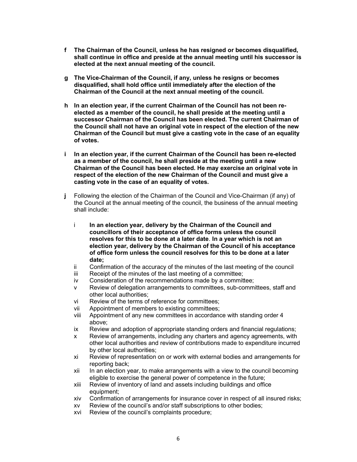- f The Chairman of the Council, unless he has resigned or becomes disqualified, shall continue in office and preside at the annual meeting until his successor is elected at the next annual meeting of the council.
- g The Vice-Chairman of the Council, if any, unless he resigns or becomes disqualified, shall hold office until immediately after the election of the Chairman of the Council at the next annual meeting of the council.
- h In an election year, if the current Chairman of the Council has not been reelected as a member of the council, he shall preside at the meeting until a successor Chairman of the Council has been elected. The current Chairman of the Council shall not have an original vote in respect of the election of the new Chairman of the Council but must give a casting vote in the case of an equality of votes.
- i In an election year, if the current Chairman of the Council has been re-elected as a member of the council, he shall preside at the meeting until a new Chairman of the Council has been elected. He may exercise an original vote in respect of the election of the new Chairman of the Council and must give a casting vote in the case of an equality of votes.
- j Following the election of the Chairman of the Council and Vice-Chairman (if any) of the Council at the annual meeting of the council, the business of the annual meeting shall include:
	- i In an election year, delivery by the Chairman of the Council and councillors of their acceptance of office forms unless the council resolves for this to be done at a later date. In a year which is not an election year, delivery by the Chairman of the Council of his acceptance of office form unless the council resolves for this to be done at a later date;
	- ii Confirmation of the accuracy of the minutes of the last meeting of the council
	- iii Receipt of the minutes of the last meeting of a committee;
	- iv Consideration of the recommendations made by a committee;
	- v Review of delegation arrangements to committees, sub-committees, staff and other local authorities;
	- vi Review of the terms of reference for committees;
	- vii Appointment of members to existing committees;
	- viii Appointment of any new committees in accordance with standing order 4 above;
	- ix Review and adoption of appropriate standing orders and financial regulations;
	- x Review of arrangements, including any charters and agency agreements, with other local authorities and review of contributions made to expenditure incurred by other local authorities;
	- xi Review of representation on or work with external bodies and arrangements for reporting back;
	- xii In an election year, to make arrangements with a view to the council becoming eligible to exercise the general power of competence in the future;
	- xiii Review of inventory of land and assets including buildings and office equipment;
	- xiv Confirmation of arrangements for insurance cover in respect of all insured risks;
	- xv Review of the council's and/or staff subscriptions to other bodies;
	- xvi Review of the council's complaints procedure;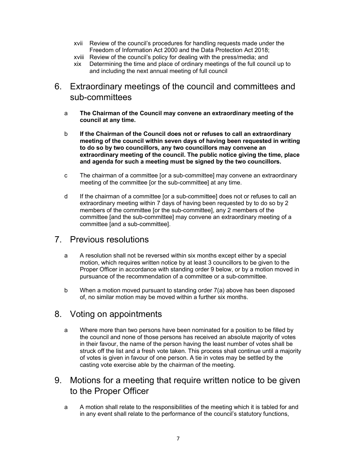- xvii Review of the council's procedures for handling requests made under the Freedom of Information Act 2000 and the Data Protection Act 2018;
- xviii Review of the council's policy for dealing with the press/media; and
- xix Determining the time and place of ordinary meetings of the full council up to and including the next annual meeting of full council
- 6. Extraordinary meetings of the council and committees and sub-committees
	- a The Chairman of the Council may convene an extraordinary meeting of the council at any time.
	- b If the Chairman of the Council does not or refuses to call an extraordinary meeting of the council within seven days of having been requested in writing to do so by two councillors, any two councillors may convene an extraordinary meeting of the council. The public notice giving the time, place and agenda for such a meeting must be signed by the two councillors.
	- c The chairman of a committee [or a sub-committee] may convene an extraordinary meeting of the committee [or the sub-committee] at any time.
	- d If the chairman of a committee [or a sub-committee] does not or refuses to call an extraordinary meeting within 7 days of having been requested by to do so by 2 members of the committee [or the sub-committee], any 2 members of the committee [and the sub-committee] may convene an extraordinary meeting of a committee [and a sub-committee].

#### 7. Previous resolutions

- a A resolution shall not be reversed within six months except either by a special motion, which requires written notice by at least 3 councillors to be given to the Proper Officer in accordance with standing order 9 below, or by a motion moved in pursuance of the recommendation of a committee or a sub-committee.
- b When a motion moved pursuant to standing order 7(a) above has been disposed of, no similar motion may be moved within a further six months.

#### 8. Voting on appointments

- a Where more than two persons have been nominated for a position to be filled by the council and none of those persons has received an absolute majority of votes in their favour, the name of the person having the least number of votes shall be struck off the list and a fresh vote taken. This process shall continue until a majority of votes is given in favour of one person. A tie in votes may be settled by the casting vote exercise able by the chairman of the meeting.
- 9. Motions for a meeting that require written notice to be given to the Proper Officer
	- a A motion shall relate to the responsibilities of the meeting which it is tabled for and in any event shall relate to the performance of the council's statutory functions,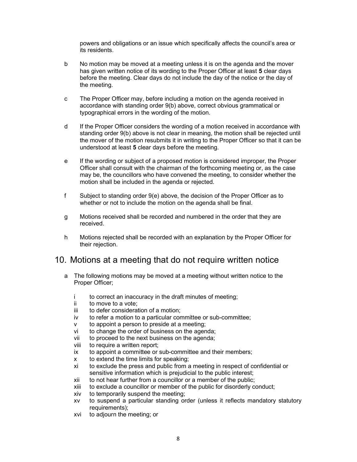powers and obligations or an issue which specifically affects the council's area or its residents.

- b No motion may be moved at a meeting unless it is on the agenda and the mover has given written notice of its wording to the Proper Officer at least 5 clear days before the meeting. Clear days do not include the day of the notice or the day of the meeting.
- c The Proper Officer may, before including a motion on the agenda received in accordance with standing order 9(b) above, correct obvious grammatical or typographical errors in the wording of the motion.
- d If the Proper Officer considers the wording of a motion received in accordance with standing order 9(b) above is not clear in meaning, the motion shall be rejected until the mover of the motion resubmits it in writing to the Proper Officer so that it can be understood at least 5 clear days before the meeting.
- e If the wording or subject of a proposed motion is considered improper, the Proper Officer shall consult with the chairman of the forthcoming meeting or, as the case may be, the councillors who have convened the meeting, to consider whether the motion shall be included in the agenda or rejected.
- f Subject to standing order 9(e) above, the decision of the Proper Officer as to whether or not to include the motion on the agenda shall be final.
- g Motions received shall be recorded and numbered in the order that they are received.
- h Motions rejected shall be recorded with an explanation by the Proper Officer for their rejection.

#### 10. Motions at a meeting that do not require written notice

- a The following motions may be moved at a meeting without written notice to the Proper Officer;
	- i to correct an inaccuracy in the draft minutes of meeting;
	- ii to move to a vote;
	- iii to defer consideration of a motion;
	- iv to refer a motion to a particular committee or sub-committee;
	- v to appoint a person to preside at a meeting;
	- vi to change the order of business on the agenda;
	- vii to proceed to the next business on the agenda;
	- viii to require a written report;
	- ix to appoint a committee or sub-committee and their members;
	- x to extend the time limits for speaking;
	- xi to exclude the press and public from a meeting in respect of confidential or sensitive information which is prejudicial to the public interest;
	- xii to not hear further from a councillor or a member of the public;
	- xiii to exclude a councillor or member of the public for disorderly conduct;
	- xiv to temporarily suspend the meeting;
	- xv to suspend a particular standing order (unless it reflects mandatory statutory requirements);
	- xvi to adjourn the meeting; or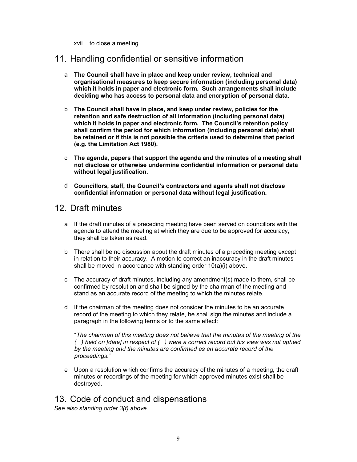xvii to close a meeting.

#### 11. Handling confidential or sensitive information

- a The Council shall have in place and keep under review, technical and organisational measures to keep secure information (including personal data) which it holds in paper and electronic form. Such arrangements shall include deciding who has access to personal data and encryption of personal data.
- b The Council shall have in place, and keep under review, policies for the retention and safe destruction of all information (including personal data) which it holds in paper and electronic form. The Council's retention policy shall confirm the period for which information (including personal data) shall be retained or if this is not possible the criteria used to determine that period (e.g. the Limitation Act 1980).
- c The agenda, papers that support the agenda and the minutes of a meeting shall not disclose or otherwise undermine confidential information or personal data without legal justification.
- d Councillors, staff, the Council's contractors and agents shall not disclose confidential information or personal data without legal justification.

#### 12. Draft minutes

- a If the draft minutes of a preceding meeting have been served on councillors with the agenda to attend the meeting at which they are due to be approved for accuracy, they shall be taken as read.
- b There shall be no discussion about the draft minutes of a preceding meeting except in relation to their accuracy. A motion to correct an inaccuracy in the draft minutes shall be moved in accordance with standing order 10(a)(i) above.
- c The accuracy of draft minutes, including any amendment(s) made to them, shall be confirmed by resolution and shall be signed by the chairman of the meeting and stand as an accurate record of the meeting to which the minutes relate.
- d If the chairman of the meeting does not consider the minutes to be an accurate record of the meeting to which they relate, he shall sign the minutes and include a paragraph in the following terms or to the same effect:

"The chairman of this meeting does not believe that the minutes of the meeting of the ( ) held on [date] in respect of ( ) were a correct record but his view was not upheld by the meeting and the minutes are confirmed as an accurate record of the proceedings."

e Upon a resolution which confirms the accuracy of the minutes of a meeting, the draft minutes or recordings of the meeting for which approved minutes exist shall be destroyed.

### 13. Code of conduct and dispensations

See also standing order 3(t) above.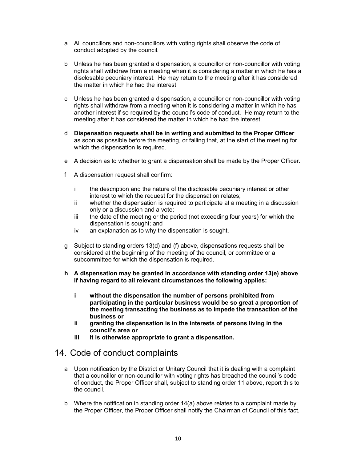- a All councillors and non-councillors with voting rights shall observe the code of conduct adopted by the council.
- b Unless he has been granted a dispensation, a councillor or non-councillor with voting rights shall withdraw from a meeting when it is considering a matter in which he has a disclosable pecuniary interest. He may return to the meeting after it has considered the matter in which he had the interest.
- c Unless he has been granted a dispensation, a councillor or non-councillor with voting rights shall withdraw from a meeting when it is considering a matter in which he has another interest if so required by the council's code of conduct. He may return to the meeting after it has considered the matter in which he had the interest.
- d Dispensation requests shall be in writing and submitted to the Proper Officer as soon as possible before the meeting, or failing that, at the start of the meeting for which the dispensation is required.
- e A decision as to whether to grant a dispensation shall be made by the Proper Officer.
- f A dispensation request shall confirm:
	- i the description and the nature of the disclosable pecuniary interest or other interest to which the request for the dispensation relates;
	- ii whether the dispensation is required to participate at a meeting in a discussion only or a discussion and a vote;
	- iii the date of the meeting or the period (not exceeding four years) for which the dispensation is sought; and
	- iv an explanation as to why the dispensation is sought.
- g Subject to standing orders 13(d) and (f) above, dispensations requests shall be considered at the beginning of the meeting of the council, or committee or a subcommittee for which the dispensation is required.
- h A dispensation may be granted in accordance with standing order 13(e) above if having regard to all relevant circumstances the following applies:
	- i without the dispensation the number of persons prohibited from participating in the particular business would be so great a proportion of the meeting transacting the business as to impede the transaction of the business or
	- ii granting the dispensation is in the interests of persons living in the council's area or
	- iii it is otherwise appropriate to grant a dispensation.

#### 14. Code of conduct complaints

- a Upon notification by the District or Unitary Council that it is dealing with a complaint that a councillor or non-councillor with voting rights has breached the council's code of conduct, the Proper Officer shall, subject to standing order 11 above, report this to the council.
- b Where the notification in standing order 14(a) above relates to a complaint made by the Proper Officer, the Proper Officer shall notify the Chairman of Council of this fact,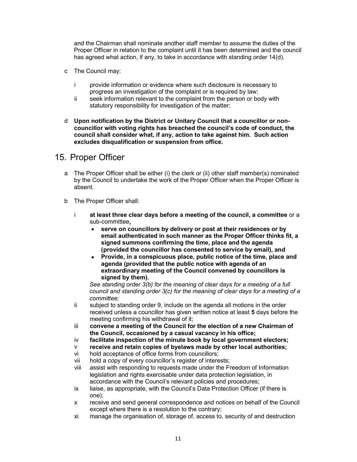and the Chairman shall nominate another staff member to assume the duties of the Proper Officer in relation to the complaint until it has been determined and the council has agreed what action, if any, to take in accordance with standing order 14(d).

- c The Council may:
	- i provide information or evidence where such disclosure is necessary to progress an investigation of the complaint or is required by law;
	- ii seek information relevant to the complaint from the person or body with statutory responsibility for investigation of the matter;
- d Upon notification by the District or Unitary Council that a councillor or noncouncillor with voting rights has breached the council's code of conduct, the council shall consider what, if any, action to take against him. Such action excludes disqualification or suspension from office.

#### 15. Proper Officer

- a The Proper Officer shall be either (i) the clerk or (ii) other staff member(s) nominated by the Council to undertake the work of the Proper Officer when the Proper Officer is absent.
- b The Proper Officer shall:
	- i at least three clear days before a meeting of the council, a committee or a sub-committee,
		- serve on councillors by delivery or post at their residences or by email authenticated in such manner as the Proper Officer thinks fit, a signed summons confirming the time, place and the agenda (provided the councillor has consented to service by email), and
		- Provide, in a conspicuous place, public notice of the time, place and agenda (provided that the public notice with agenda of an extraordinary meeting of the Council convened by councillors is signed by them).

See standing order 3(b) for the meaning of clear days for a meeting of a full council and standing order 3(c) for the meaning of clear days for a meeting of a committee;

- ii subject to standing order 9, include on the agenda all motions in the order received unless a councillor has given written notice at least 5 days before the meeting confirming his withdrawal of it;
- iii convene a meeting of the Council for the election of a new Chairman of the Council, occasioned by a casual vacancy in his office;
- iv facilitate inspection of the minute book by local government electors;
- v receive and retain copies of byelaws made by other local authorities;
- vi hold acceptance of office forms from councillors;
- vii hold a copy of every councillor's register of interests;
- viii assist with responding to requests made under the Freedom of Information legislation and rights exercisable under data protection legislation, in accordance with the Council's relevant policies and procedures;
- ix liaise, as appropriate, with the Council's Data Protection Officer (if there is one);
- x receive and send general correspondence and notices on behalf of the Council except where there is a resolution to the contrary;
- xi manage the organisation of, storage of, access to, security of and destruction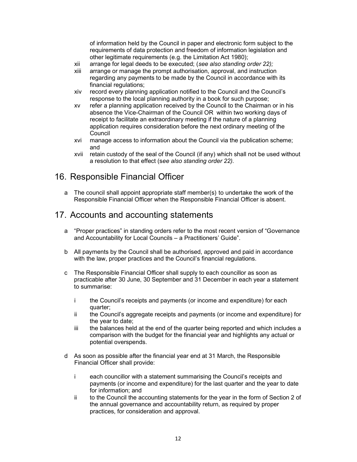of information held by the Council in paper and electronic form subject to the requirements of data protection and freedom of information legislation and other legitimate requirements (e.g. the Limitation Act 1980);

- xii arrange for legal deeds to be executed; (see also standing order 22);
- xiii arrange or manage the prompt authorisation, approval, and instruction regarding any payments to be made by the Council in accordance with its financial regulations;
- xiv record every planning application notified to the Council and the Council's response to the local planning authority in a book for such purpose;
- xv refer a planning application received by the Council to the Chairman or in his absence the Vice-Chairman of the Council OR within two working days of receipt to facilitate an extraordinary meeting if the nature of a planning application requires consideration before the next ordinary meeting of the **Council**
- xvi manage access to information about the Council via the publication scheme; and
- xvii retain custody of the seal of the Council (if any) which shall not be used without a resolution to that effect (see also standing order 22).

#### 16. Responsible Financial Officer

a The council shall appoint appropriate staff member(s) to undertake the work of the Responsible Financial Officer when the Responsible Financial Officer is absent.

#### 17. Accounts and accounting statements

- a "Proper practices" in standing orders refer to the most recent version of "Governance and Accountability for Local Councils – a Practitioners' Guide".
- b All payments by the Council shall be authorised, approved and paid in accordance with the law, proper practices and the Council's financial regulations.
- c The Responsible Financial Officer shall supply to each councillor as soon as practicable after 30 June, 30 September and 31 December in each year a statement to summarise:
	- i the Council's receipts and payments (or income and expenditure) for each quarter;
	- ii the Council's aggregate receipts and payments (or income and expenditure) for the year to date;
	- iii the balances held at the end of the quarter being reported and which includes a comparison with the budget for the financial year and highlights any actual or potential overspends.
- d As soon as possible after the financial year end at 31 March, the Responsible Financial Officer shall provide:
	- i each councillor with a statement summarising the Council's receipts and payments (or income and expenditure) for the last quarter and the year to date for information; and
	- ii to the Council the accounting statements for the year in the form of Section 2 of the annual governance and accountability return, as required by proper practices, for consideration and approval.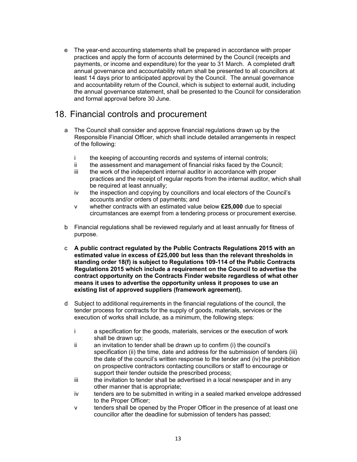e The year-end accounting statements shall be prepared in accordance with proper practices and apply the form of accounts determined by the Council (receipts and payments, or income and expenditure) for the year to 31 March. A completed draft annual governance and accountability return shall be presented to all councillors at least 14 days prior to anticipated approval by the Council. The annual governance and accountability return of the Council, which is subject to external audit, including the annual governance statement, shall be presented to the Council for consideration and formal approval before 30 June.

#### 18. Financial controls and procurement

- a The Council shall consider and approve financial regulations drawn up by the Responsible Financial Officer, which shall include detailed arrangements in respect of the following:
	- i the keeping of accounting records and systems of internal controls;
	- ii the assessment and management of financial risks faced by the Council;
	- iii the work of the independent internal auditor in accordance with proper practices and the receipt of regular reports from the internal auditor, which shall be required at least annually;
	- iv the inspection and copying by councillors and local electors of the Council's accounts and/or orders of payments; and
	- v whether contracts with an estimated value below £25,000 due to special circumstances are exempt from a tendering process or procurement exercise.
- b Financial regulations shall be reviewed regularly and at least annually for fitness of purpose.
- c A public contract regulated by the Public Contracts Regulations 2015 with an estimated value in excess of £25,000 but less than the relevant thresholds in standing order 18(f) is subject to Regulations 109-114 of the Public Contracts Regulations 2015 which include a requirement on the Council to advertise the contract opportunity on the Contracts Finder website regardless of what other means it uses to advertise the opportunity unless it proposes to use an existing list of approved suppliers (framework agreement).
- d Subject to additional requirements in the financial regulations of the council, the tender process for contracts for the supply of goods, materials, services or the execution of works shall include, as a minimum, the following steps:
	- i a specification for the goods, materials, services or the execution of work shall be drawn up;
	- ii an invitation to tender shall be drawn up to confirm (i) the council's specification (ii) the time, date and address for the submission of tenders (iii) the date of the council's written response to the tender and (iv) the prohibition on prospective contractors contacting councillors or staff to encourage or support their tender outside the prescribed process;
	- iii the invitation to tender shall be advertised in a local newspaper and in any other manner that is appropriate;
	- iv tenders are to be submitted in writing in a sealed marked envelope addressed to the Proper Officer;
	- v tenders shall be opened by the Proper Officer in the presence of at least one councillor after the deadline for submission of tenders has passed;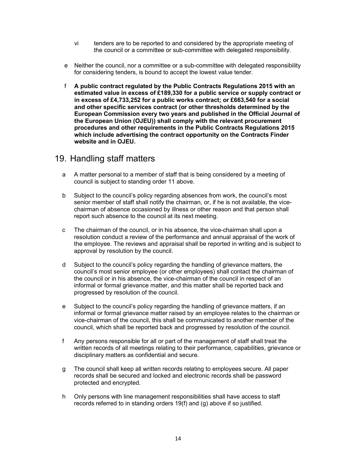- vi tenders are to be reported to and considered by the appropriate meeting of the council or a committee or sub-committee with delegated responsibility.
- e Neither the council, nor a committee or a sub-committee with delegated responsibility for considering tenders, is bound to accept the lowest value tender.
- f A public contract regulated by the Public Contracts Regulations 2015 with an estimated value in excess of £189,330 for a public service or supply contract or in excess of £4,733,252 for a public works contract; or £663,540 for a social and other specific services contract (or other thresholds determined by the European Commission every two years and published in the Official Journal of the European Union (OJEU)) shall comply with the relevant procurement procedures and other requirements in the Public Contracts Regulations 2015 which include advertising the contract opportunity on the Contracts Finder website and in OJEU.

#### 19. Handling staff matters

- a A matter personal to a member of staff that is being considered by a meeting of council is subject to standing order 11 above.
- b Subject to the council's policy regarding absences from work, the council's most senior member of staff shall notify the chairman, or, if he is not available, the vicechairman of absence occasioned by illness or other reason and that person shall report such absence to the council at its next meeting.
- c The chairman of the council, or in his absence, the vice-chairman shall upon a resolution conduct a review of the performance and annual appraisal of the work of the employee. The reviews and appraisal shall be reported in writing and is subject to approval by resolution by the council.
- d Subject to the council's policy regarding the handling of grievance matters, the council's most senior employee (or other employees) shall contact the chairman of the council or in his absence, the vice-chairman of the council in respect of an informal or formal grievance matter, and this matter shall be reported back and progressed by resolution of the council.
- e Subject to the council's policy regarding the handling of grievance matters, if an informal or formal grievance matter raised by an employee relates to the chairman or vice-chairman of the council, this shall be communicated to another member of the council, which shall be reported back and progressed by resolution of the council.
- f Any persons responsible for all or part of the management of staff shall treat the written records of all meetings relating to their performance, capabilities, grievance or disciplinary matters as confidential and secure.
- g The council shall keep all written records relating to employees secure. All paper records shall be secured and locked and electronic records shall be password protected and encrypted.
- h Only persons with line management responsibilities shall have access to staff records referred to in standing orders 19(f) and (g) above if so justified.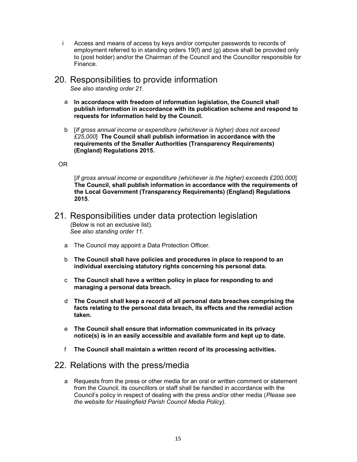- i Access and means of access by keys and/or computer passwords to records of employment referred to in standing orders 19(f) and (g) above shall be provided only to (post holder) and/or the Chairman of the Council and the Councillor responsible for Finance.
- 20. Responsibilities to provide information See also standing order 21.
	- a In accordance with freedom of information legislation, the Council shall publish information in accordance with its publication scheme and respond to requests for information held by the Council.
	- b [If gross annual income or expenditure (whichever is higher) does not exceed £25,000] The Council shall publish information in accordance with the requirements of the Smaller Authorities (Transparency Requirements) (England) Regulations 2015.

#### OR

[If gross annual income or expenditure (whichever is the higher) exceeds £200,000] The Council, shall publish information in accordance with the requirements of the Local Government (Transparency Requirements) (England) Regulations 2015.

- 21. Responsibilities under data protection legislation (Below is not an exclusive list). See also standing order 11.
	- a The Council may appoint a Data Protection Officer.
	- b The Council shall have policies and procedures in place to respond to an individual exercising statutory rights concerning his personal data.
	- c The Council shall have a written policy in place for responding to and managing a personal data breach.
	- d The Council shall keep a record of all personal data breaches comprising the facts relating to the personal data breach, its effects and the remedial action taken.
	- e The Council shall ensure that information communicated in its privacy notice(s) is in an easily accessible and available form and kept up to date.
	- f The Council shall maintain a written record of its processing activities.

#### 22. Relations with the press/media

a Requests from the press or other media for an oral or written comment or statement from the Council, its councillors or staff shall be handled in accordance with the Council's policy in respect of dealing with the press and/or other media (Please see the website for Haslingfield Parish Council Media Policy).